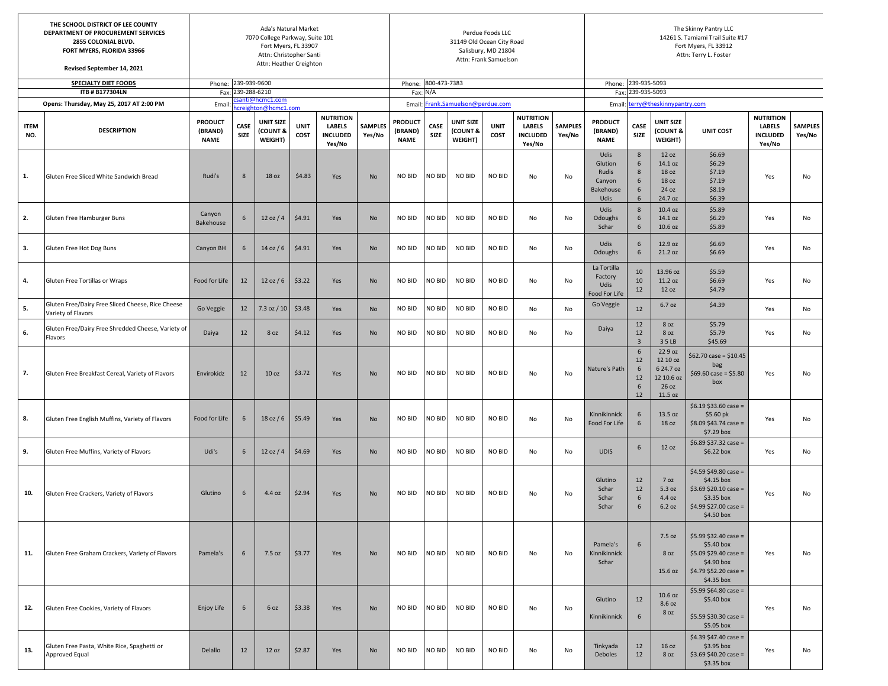|                    | THE SCHOOL DISTRICT OF LEE COUNTY<br>DEPARTMENT OF PROCUREMENT SERVICES<br>2855 COLONIAL BLVD.<br>FORT MYERS, FLORIDA 33966<br>Revised September 14, 2021 |                                          |                   | 31149 Old Ocean City Road               | Perdue Foods LLC<br>Salisbury, MD 21804<br>Attn: Frank Samuelson |                                                                |                          | The Skinny Pantry LLC<br>14261 S. Tamiami Trail Suite #17<br>Fort Myers, FL 33912<br>Attn: Terry L. Foster |                                   |                                         |                     |                                                         |                          |                                                                |                                     |                                                                    |                                                                                                                 |                                                                |                                                                                                  |  |  |  |  |
|--------------------|-----------------------------------------------------------------------------------------------------------------------------------------------------------|------------------------------------------|-------------------|-----------------------------------------|------------------------------------------------------------------|----------------------------------------------------------------|--------------------------|------------------------------------------------------------------------------------------------------------|-----------------------------------|-----------------------------------------|---------------------|---------------------------------------------------------|--------------------------|----------------------------------------------------------------|-------------------------------------|--------------------------------------------------------------------|-----------------------------------------------------------------------------------------------------------------|----------------------------------------------------------------|--------------------------------------------------------------------------------------------------|--|--|--|--|
|                    | <b>SPECIALTY DIET FOODS</b><br>Phone: 239-939-9600                                                                                                        |                                          |                   |                                         |                                                                  |                                                                |                          |                                                                                                            |                                   | Phone: 800-473-7383                     |                     |                                                         |                          |                                                                | Phone: 239-935-5093                 |                                                                    |                                                                                                                 |                                                                | <b>SAMPLES</b><br>Yes/No<br>No<br>No<br>No<br>No<br>No<br>No<br>No<br>No<br>No<br>No<br>No<br>No |  |  |  |  |
|                    | ITB # B177304LN                                                                                                                                           |                                          | Fax: 239-288-6210 | santi@hcmc1.com                         |                                                                  |                                                                |                          | Fax: N/A                                                                                                   |                                   |                                         |                     |                                                         |                          | Fax: 239-935-5093                                              |                                     |                                                                    |                                                                                                                 |                                                                |                                                                                                  |  |  |  |  |
|                    | Opens: Thursday, May 25, 2017 AT 2:00 PM                                                                                                                  | Email                                    |                   | ncreighton@hcmc1.com                    |                                                                  |                                                                |                          |                                                                                                            | Email: Frank.Samuelson@perdue.com |                                         |                     |                                                         |                          | Email: terry@theskinnypantry.com                               |                                     |                                                                    |                                                                                                                 |                                                                |                                                                                                  |  |  |  |  |
| <b>ITEM</b><br>NO. | <b>DESCRIPTION</b>                                                                                                                                        | <b>PRODUCT</b><br>(BRAND)<br><b>NAME</b> | CASE<br>SIZE      | <b>UNIT SIZE</b><br>(COUNT &<br>WEIGHT) | <b>UNIT</b><br>COST                                              | <b>NUTRITION</b><br><b>LABELS</b><br><b>INCLUDED</b><br>Yes/No | <b>SAMPLES</b><br>Yes/No | <b>PRODUCT</b><br>(BRAND)<br><b>NAME</b>                                                                   | CASE<br>SIZE                      | <b>UNIT SIZE</b><br>(COUNT &<br>WEIGHT) | <b>UNIT</b><br>COST | <b>NUTRITION</b><br><b>LABELS</b><br>INCLUDED<br>Yes/No | <b>SAMPLES</b><br>Yes/No | <b>PRODUCT</b><br>(BRAND)<br><b>NAME</b>                       | CASE<br><b>SIZE</b>                 | UNIT SIZE<br>(COUNT &<br>WEIGHT)                                   | <b>UNIT COST</b>                                                                                                | <b>NUTRITION</b><br><b>LABELS</b><br><b>INCLUDED</b><br>Yes/No |                                                                                                  |  |  |  |  |
| 1.                 | Gluten Free Sliced White Sandwich Bread                                                                                                                   | Rudi's                                   | 8                 | 18 oz                                   | \$4.83                                                           | Yes                                                            | No                       | NO BID                                                                                                     | NO BID                            | NO BID                                  | NO BID              | No                                                      | No                       | Udis<br>Glution<br>Rudis<br>Canyon<br><b>Bakehouse</b><br>Udis | 8<br>6<br>8<br>6<br>6<br>6          | 12 oz<br>14.1 oz<br>18 oz<br>18 oz<br>24 oz<br>24.7 oz             | \$6.69<br>\$6.29<br>\$7.19<br>\$7.19<br>\$8.19<br>\$6.39                                                        | Yes                                                            |                                                                                                  |  |  |  |  |
| 2.                 | Gluten Free Hamburger Buns                                                                                                                                | Canyon<br>Bakehouse                      | 6                 | 12 oz / 4                               | \$4.91                                                           | Yes                                                            | No                       | NO BID                                                                                                     | NO BID                            | NO BID                                  | NO BID              | No                                                      | No                       | Udis<br>Odoughs<br>Schar                                       | 8<br>6<br>6                         | 10.4 oz<br>14.1 oz<br>10.6 oz                                      | \$5.89<br>\$6.29<br>\$5.89                                                                                      | Yes                                                            |                                                                                                  |  |  |  |  |
| 3.                 | Gluten Free Hot Dog Buns                                                                                                                                  | Canyon BH                                | 6                 | $14$ oz / 6                             | \$4.91                                                           | Yes                                                            | No                       | NO BID                                                                                                     | NO BID                            | NO BID                                  | NO BID              | No                                                      | No                       | Udis<br>Odoughs                                                | 6<br>6                              | 12.9 oz<br>21.2 oz                                                 | \$6.69<br>\$6.69                                                                                                | Yes                                                            |                                                                                                  |  |  |  |  |
| 4.                 | Gluten Free Tortillas or Wraps                                                                                                                            | Food for Life                            | 12                | 12 oz/6                                 | \$3.22                                                           | Yes                                                            | <b>No</b>                | NO BID                                                                                                     | NO BID                            | NO BID                                  | NO BID              | No                                                      | No                       | La Tortilla<br>Factory<br>Udis<br>Food For Life                | 10<br>10<br>12                      | 13.96 oz<br>11.2 oz<br>12 oz                                       | \$5.59<br>\$6.69<br>\$4.79                                                                                      | Yes                                                            |                                                                                                  |  |  |  |  |
| 5.                 | Gluten Free/Dairy Free Sliced Cheese, Rice Cheese<br>Variety of Flavors                                                                                   | Go Veggie                                | 12                | 7.3 oz / 10                             | \$3.48                                                           | Yes                                                            | <b>No</b>                | NO BID                                                                                                     | NO BID                            | NO BID                                  | NO BID              | No                                                      | No                       | Go Veggie                                                      | 12                                  | 6.7 oz                                                             | \$4.39                                                                                                          | Yes                                                            |                                                                                                  |  |  |  |  |
| 6.                 | Gluten Free/Dairy Free Shredded Cheese, Variety of<br>Flavors                                                                                             | Daiya                                    | 12                | 8 oz                                    | \$4.12                                                           | Yes                                                            | No                       | NO BID                                                                                                     | NO BID                            | NO BID                                  | NO BID              | No                                                      | No                       | Daiya                                                          | 12<br>12<br>$\overline{\mathbf{3}}$ | 8 oz<br>8 oz<br>35LB                                               | \$5.79<br>\$5.79<br>\$45.69                                                                                     | Yes                                                            |                                                                                                  |  |  |  |  |
| 7.                 | Gluten Free Breakfast Cereal, Variety of Flavors                                                                                                          | Envirokidz                               | 12                | 10 <sub>oz</sub>                        | \$3.72                                                           | Yes                                                            | No                       | NO BID                                                                                                     | NO BID                            | NO BID                                  | NO BID              | No                                                      | No                       | Nature's Path                                                  | 6<br>12<br>6<br>12<br>6<br>12       | 22 9 oz<br>12 10 oz<br>6 24.7 oz<br>12 10.6 oz<br>26 oz<br>11.5 oz | $$62.70 \case = $10.45$<br>bag<br>$$69.60 \text{ case} = $5.80$<br>box                                          | Yes                                                            |                                                                                                  |  |  |  |  |
| 8.                 | Gluten Free English Muffins, Variety of Flavors                                                                                                           | Food for Life                            | 6                 | 18 oz/6                                 | \$5.49                                                           | Yes                                                            | No                       | NO BID                                                                                                     | NO BID                            | NO BID                                  | NO BID              | No                                                      | No                       | Kinnikinnick<br>Food For Life                                  | 6<br>6                              | 13.5 oz<br>18 oz                                                   | $$6.19 $33.60 case =$<br>$$5.60$ pk<br>$$8.09$343.74 case =$<br>\$7.29 box                                      | Yes                                                            |                                                                                                  |  |  |  |  |
| 9.                 | Gluten Free Muffins, Variety of Flavors                                                                                                                   | Udi's                                    | 6                 | 12 oz / 4                               | \$4.69                                                           | Yes                                                            | No                       | NO BID                                                                                                     | NO BID                            | NO BID                                  | NO BID              | No                                                      | No                       | <b>UDIS</b>                                                    | 6                                   | 12 oz                                                              | \$6.89 \$37.32 case =<br>\$6.22 box                                                                             | Yes                                                            |                                                                                                  |  |  |  |  |
| 10.                | Gluten Free Crackers, Variety of Flavors                                                                                                                  | Glutino                                  | 6                 | 4.4 oz                                  | \$2.94                                                           | Yes                                                            | No                       | NO BID                                                                                                     | NO BID                            | NO BID                                  | NO BID              | No                                                      | No                       | Glutino<br>Schar<br>Schar<br>Schar                             | 12<br>12<br>6<br>6                  | 7 oz<br>5.3 oz<br>4.4 oz<br>6.2 oz                                 | \$4.59 \$49.80 case =<br>\$4.15 box<br>$$3.69$20.10 case =$<br>\$3.35 box<br>$$4.99$27.00 case =$<br>\$4.50 box | Yes                                                            |                                                                                                  |  |  |  |  |
| 11.                | Gluten Free Graham Crackers, Variety of Flavors                                                                                                           | Pamela's                                 | 6                 | 7.5 oz                                  | \$3.77                                                           | Yes                                                            | No                       | NO BID                                                                                                     | NO BID                            | NO BID                                  | NO BID              | No                                                      | No                       | Pamela's<br>Kinnikinnick<br>Schar                              | 6                                   | 7.5 oz<br>8 oz<br>15.6 oz                                          | $$5.99$32.40 case =$<br>\$5.40 box<br>$$5.09$29.40 case =$<br>\$4.90 box<br>$$4.79 $52.20 case =$<br>\$4.35 box | Yes                                                            |                                                                                                  |  |  |  |  |
| 12.                | Gluten Free Cookies, Variety of Flavors                                                                                                                   | Enjoy Life                               | 6                 | 6 oz                                    | \$3.38                                                           | Yes                                                            | No                       | NO BID                                                                                                     | NO BID                            | NO BID                                  | <b>NO BID</b>       | No                                                      | No                       | Glutino<br>Kinnikinnick                                        | 12<br>6                             | 10.6 oz<br>8.6 oz<br>8 oz                                          | \$5.99 \$64.80 case =<br>\$5.40 box<br>$$5.59$30.30 case =$<br>$$5.05$ box                                      | Yes                                                            |                                                                                                  |  |  |  |  |
| 13.                | Gluten Free Pasta, White Rice, Spaghetti or<br>Approved Equal                                                                                             | Delallo                                  | 12                | 12 oz                                   | \$2.87                                                           | Yes                                                            | <b>No</b>                | NO BID                                                                                                     | NO BID                            | NO BID                                  | NO BID              | No                                                      | No                       | Tinkyada<br>Deboles                                            | 12<br>12                            | 16 oz<br>8 oz                                                      | $$4.39$47.40 case =$<br>\$3.95 box<br>$$3.69$40.20 case =$<br>\$3.35 box                                        | Yes                                                            | No                                                                                               |  |  |  |  |

 $\overline{\phantom{a}}$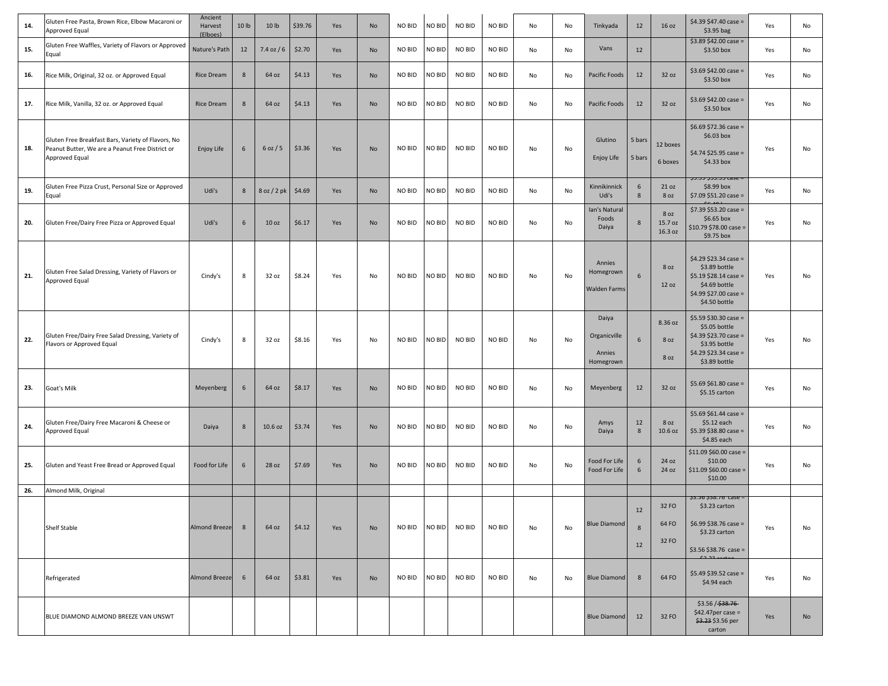| 14. | Gluten Free Pasta, Brown Rice, Elbow Macaroni or<br>Approved Equal                                                      | Ancient<br>Harvest<br>(Elboes) | 10 lb | 10 lb            | \$39.76 | Yes | No | NO BID | NO BID        | NO BID        | NO BID        | No | No | Tinkyada                                     | 12               | 16 oz                      | $$4.39$347.40 case =$<br>$$3.95$ bag                                                                                       | Yes | No |
|-----|-------------------------------------------------------------------------------------------------------------------------|--------------------------------|-------|------------------|---------|-----|----|--------|---------------|---------------|---------------|----|----|----------------------------------------------|------------------|----------------------------|----------------------------------------------------------------------------------------------------------------------------|-----|----|
| 15. | Gluten Free Waffles, Variety of Flavors or Approved<br>Equal                                                            | Nature's Path                  | 12    | $7.4$ oz $/6$    | \$2.70  | Yes | No | NO BID | NO BID        | NO BID        | NO BID        | No | No | Vans                                         | 12               |                            | $$3.89$42.00 case =$<br>\$3.50 box                                                                                         | Yes | No |
| 16. | Rice Milk, Original, 32 oz. or Approved Equal                                                                           | Rice Dream                     | 8     | 64 oz            | \$4.13  | Yes | No | NO BID | NO BID        | NO BID        | NO BID        | No | No | Pacific Foods                                | 12               | 32 oz                      | $$3.69$42.00 case =$<br>\$3.50 box                                                                                         | Yes | No |
| 17. | Rice Milk, Vanilla, 32 oz. or Approved Equal                                                                            | <b>Rice Dream</b>              | 8     | 64 oz            | \$4.13  | Yes | No | NO BID | NO BID        | <b>NO BID</b> | NO BID        | No | No | Pacific Foods                                | 12               | 32 oz                      | $$3.69$342.00 case =$<br>$$3.50$ box                                                                                       | Yes | No |
| 18. | Gluten Free Breakfast Bars, Variety of Flavors, No<br>Peanut Butter, We are a Peanut Free District or<br>Approved Equal | Enjoy Life                     | 6     | 6 oz / 5         | \$3.36  | Yes | No | NO BID | NO BID        | NO BID        | NO BID        | No | No | Glutino<br>Enjoy Life                        | 5 bars<br>5 bars | 12 boxes<br>6 boxes        | $$6.69$372.36 case =$<br>\$6.03 box<br>$$4.74 $25.95 case =$<br>$$4.33$ box<br><del>29.99 200.90 Case =</del>              | Yes | No |
| 19. | Gluten Free Pizza Crust, Personal Size or Approved<br>Equal                                                             | Udi's                          | 8     | 8 oz / 2 pk      | \$4.69  | Yes | No | NO BID | NO BID        | NO BID        | NO BID        | No | No | Kinnikinnick<br>Udi's                        | 6<br>8           | 21 oz<br>8 oz              | $$8.99$ box<br>$$7.09$51.20 case =$<br>$cc$ and                                                                            | Yes | No |
| 20. | Gluten Free/Dairy Free Pizza or Approved Equal                                                                          | Udi's                          | 6     | 10 <sub>oz</sub> | \$6.17  | Yes | No | NO BID | NO BID        | NO BID        | NO BID        | No | No | Ian's Natural<br>Foods<br>Daiya              | 8                | 8 oz<br>15.7 oz<br>16.3 oz | $$7.39$53.20 case =$<br>\$6.65 box<br>\$10.79 \$78.00 case =<br>\$9.75 box                                                 | Yes | No |
| 21. | Gluten Free Salad Dressing, Variety of Flavors or<br>Approved Equal                                                     | Cindy's                        | 8     | 32 oz            | \$8.24  | Yes | No | NO BID | NO BID        | NO BID        | NO BID        | No | No | Annies<br>Homegrown<br><b>Walden Farms</b>   | 6                | 8 oz<br>12 oz              | $$4.29$23.34 case =$<br>\$3.89 bottle<br>$$5.19$28.14 case =$<br>\$4.69 bottle<br>$$4.99$27.00 case =$<br>\$4.50 bottle    | Yes | No |
| 22. | Gluten Free/Dairy Free Salad Dressing, Variety of<br>Flavors or Approved Equal                                          | Cindy's                        | 8     | 32 oz            | \$8.16  | Yes | No | NO BID | NO BID        | NO BID        | NO BID        | No | No | Daiya<br>Organicville<br>Annies<br>Homegrown | 6                | 8.36 oz<br>8 oz<br>8 oz    | $$5.59 $30.30 case =$<br>\$5.05 bottle<br>\$4.39 \$23.70 case =<br>\$3.95 bottle<br>$$4.29 $23.34 case =$<br>\$3.89 bottle | Yes | No |
| 23. | Goat's Milk                                                                                                             | Meyenberg                      | 6     | 64 oz            | \$8.17  | Yes | No | NO BID | NO BID        | <b>NO BID</b> | NO BID        | No | No | Meyenberg                                    | 12               | 32 oz                      | \$5.69 \$61.80 case =<br>\$5.15 carton                                                                                     | Yes | No |
| 24. | Gluten Free/Dairy Free Macaroni & Cheese or<br>Approved Equal                                                           | Daiya                          | 8     | 10.6 oz          | \$3.74  | Yes | No | NO BID | NO BID        | <b>NO BID</b> | NO BID        | No | No | Amys<br>Daiya                                | 12<br>8          | 8 oz<br>10.6 oz            | $$5.69$561.44 case =$<br>\$5.12 each<br>\$5.39 \$38.80 case =<br>\$4.85 each                                               | Yes | No |
| 25. | Gluten and Yeast Free Bread or Approved Equal                                                                           | Food for Life                  | 6     | 28 oz            | \$7.69  | Yes | No | NO BID | NO BID        | <b>NO BID</b> | <b>NO BID</b> | No | No | Food For Life<br>Food For Life               | 6<br>6           | 24 oz<br>24 oz             | $$11.09$50.00 case =$<br>\$10.00<br>$$11.09$50.00 case =$<br>\$10.00                                                       | Yes | No |
| 26. | Almond Milk, Original                                                                                                   |                                |       |                  |         |     |    |        |               |               |               |    |    |                                              |                  |                            |                                                                                                                            |     |    |
|     | Shelf Stable                                                                                                            | Almond Breeze                  | 8     | 64 oz            | \$4.12  | Yes | No | NO BID | NO BID        | <b>NO BID</b> | NO BID        | No | No | <b>Blue Diamond</b>                          | 12<br>8<br>12    | 32 FO<br>64 FO<br>32 FO    | 20.00 200.70 Lase =<br>\$3.23 carton<br>$$6.99$38.76 case =$<br>\$3.23 carton<br>$$3.56 $38.76 case =$<br>0.22             | Yes | No |
|     | Refrigerated                                                                                                            | <b>Almond Breeze</b>           | 6     | 64 oz            | \$3.81  | Yes | No | NO BID | <b>NO BID</b> | NO BID        | NO BID        | No | No | <b>Blue Diamond</b>                          | 8                | 64 FO                      | $$5.49$39.52 case =$<br>\$4.94 each                                                                                        | Yes | No |
|     | BLUE DIAMOND ALMOND BREEZE VAN UNSWT                                                                                    |                                |       |                  |         |     |    |        |               |               |               |    |    | <b>Blue Diamond</b>                          | 12               | 32 FO                      | \$3.56 / \$38.76<br>$$42.47$ per case =<br>\$3.23 \$3.56 per<br>carton                                                     | Yes | No |